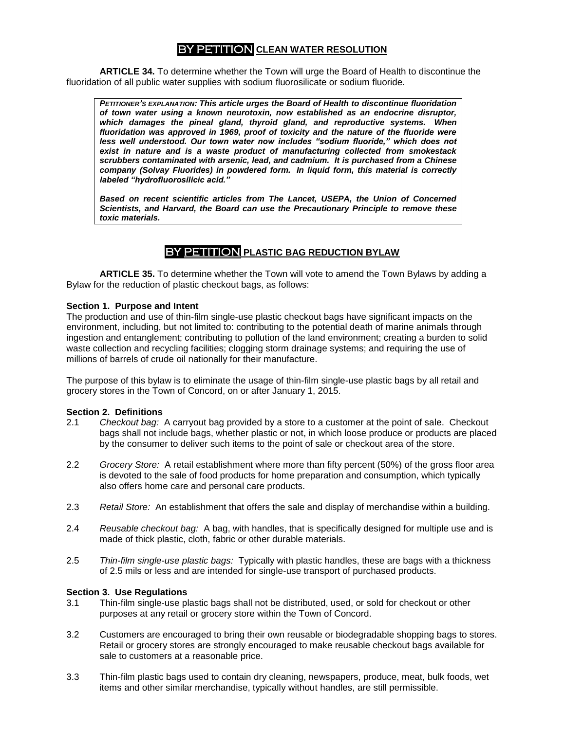# **PETITION CLEAN WATER RESOLUTION**

**ARTICLE 34.** To determine whether the Town will urge the Board of Health to discontinue the fluoridation of all public water supplies with sodium fluorosilicate or sodium fluoride.

*PETITIONER"S EXPLANATION: This article urges the Board of Health to discontinue fluoridation of town water using a known neurotoxin, now established as an endocrine disruptor, which damages the pineal gland, thyroid gland, and reproductive systems. When fluoridation was approved in 1969, proof of toxicity and the nature of the fluoride were*  less well understood. Our town water now includes "sodium fluoride," which does not *exist in nature and is a waste product of manufacturing collected from smokestack scrubbers contaminated with arsenic, lead, and cadmium. It is purchased from a Chinese company (Solvay Fluorides) in powdered form. In liquid form, this material is correctly labeled "hydrofluorosilicic acid."*

*Based on recent scientific articles from The Lancet, USEPA, the Union of Concerned Scientists, and Harvard, the Board can use the Precautionary Principle to remove these toxic materials.*

# BY PETITION **PLASTIC BAG REDUCTION BYLAW**

**ARTICLE 35.** To determine whether the Town will vote to amend the Town Bylaws by adding a Bylaw for the reduction of plastic checkout bags, as follows:

### **Section 1. Purpose and Intent**

The production and use of thin-film single-use plastic checkout bags have significant impacts on the environment, including, but not limited to: contributing to the potential death of marine animals through ingestion and entanglement; contributing to pollution of the land environment; creating a burden to solid waste collection and recycling facilities; clogging storm drainage systems; and requiring the use of millions of barrels of crude oil nationally for their manufacture.

The purpose of this bylaw is to eliminate the usage of thin-film single-use plastic bags by all retail and grocery stores in the Town of Concord, on or after January 1, 2015.

#### **Section 2. Definitions**

- 2.1 *Checkout bag:* A carryout bag provided by a store to a customer at the point of sale. Checkout bags shall not include bags, whether plastic or not, in which loose produce or products are placed by the consumer to deliver such items to the point of sale or checkout area of the store.
- 2.2 *Grocery Store:* A retail establishment where more than fifty percent (50%) of the gross floor area is devoted to the sale of food products for home preparation and consumption, which typically also offers home care and personal care products.
- 2.3 *Retail Store:* An establishment that offers the sale and display of merchandise within a building.
- 2.4 *Reusable checkout bag:* A bag, with handles, that is specifically designed for multiple use and is made of thick plastic, cloth, fabric or other durable materials.
- 2.5 *Thin-film single-use plastic bags:* Typically with plastic handles, these are bags with a thickness of 2.5 mils or less and are intended for single-use transport of purchased products.

#### **Section 3. Use Regulations**

- 3.1 Thin-film single-use plastic bags shall not be distributed, used, or sold for checkout or other purposes at any retail or grocery store within the Town of Concord.
- 3.2 Customers are encouraged to bring their own reusable or biodegradable shopping bags to stores. Retail or grocery stores are strongly encouraged to make reusable checkout bags available for sale to customers at a reasonable price.
- 3.3 Thin-film plastic bags used to contain dry cleaning, newspapers, produce, meat, bulk foods, wet items and other similar merchandise, typically without handles, are still permissible.